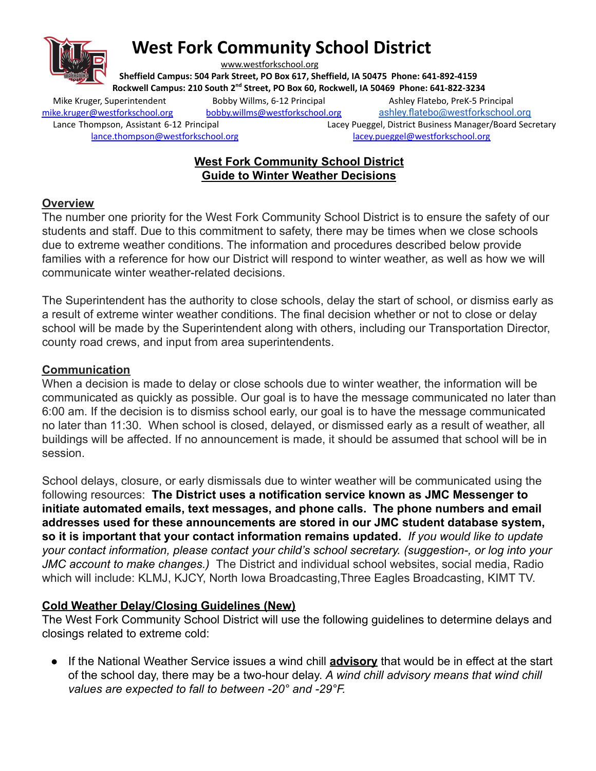

# **West Fork Community School District**

[www.westforkschool.org](http://www.westforkschool.org)

**Sheffield Campus: 504 Park Street, PO Box 617, Sheffield, IA 50475 Phone: 641-892-4159 Rockwell Campus: 210 South 2 nd Street, PO Box 60, Rockwell, IA 50469 Phone: 641-822-3234**

Mike Kruger, Superintendent Bobby Willms, 6-12 Principal Ashley Flatebo, PreK-5 Principal [mike.kruger@westforkschool.org](mailto:mike.kruger@westforkschool.org) [bobby.willms@westforkschool.org](mailto:bobby.willms@westforkschool.org) [ashley.flatebo@westforkschool.org](mailto:ashley.flatebo@westforkschool.org) Lance Thompson, Assistant 6-12 Principal Lacey Pueggel, District Business Manager/Board Secretary [lance.thompson@westforkschool.org](mailto:lance.thompson@westforkschool.org) [lacey.pueggel@westforkschool.org](mailto:lacey.pueggel@westforkschool.org)

# **West Fork Community School District Guide to Winter Weather Decisions**

### **Overview**

The number one priority for the West Fork Community School District is to ensure the safety of our students and staff. Due to this commitment to safety, there may be times when we close schools due to extreme weather conditions. The information and procedures described below provide families with a reference for how our District will respond to winter weather, as well as how we will communicate winter weather-related decisions.

The Superintendent has the authority to close schools, delay the start of school, or dismiss early as a result of extreme winter weather conditions. The final decision whether or not to close or delay school will be made by the Superintendent along with others, including our Transportation Director, county road crews, and input from area superintendents.

#### **Communication**

When a decision is made to delay or close schools due to winter weather, the information will be communicated as quickly as possible. Our goal is to have the message communicated no later than 6:00 am. If the decision is to dismiss school early, our goal is to have the message communicated no later than 11:30. When school is closed, delayed, or dismissed early as a result of weather, all buildings will be affected. If no announcement is made, it should be assumed that school will be in session.

School delays, closure, or early dismissals due to winter weather will be communicated using the following resources: **The District uses a notification service known as JMC Messenger to initiate automated emails, text messages, and phone calls. The phone numbers and email addresses used for these announcements are stored in our JMC student database system, so it is important that your contact information remains updated.** *If you would like to update your contact information, please contact your child's school secretary. (suggestion-, or log into your JMC account to make changes.)* The District and individual school websites, social media, Radio which will include: KLMJ, KJCY, North Iowa Broadcasting,Three Eagles Broadcasting, KIMT TV.

# **Cold Weather Delay/Closing Guidelines (New)**

The West Fork Community School District will use the following guidelines to determine delays and closings related to extreme cold:

● If the National Weather Service issues a wind chill **advisory** that would be in effect at the start of the school day, there may be a two-hour delay. *A wind chill advisory means that wind chill values are expected to fall to between -20° and -29°F.*